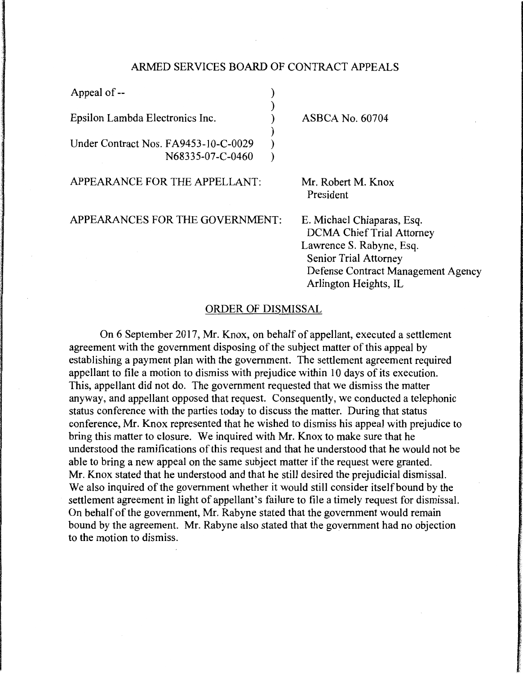## ARMED SERVICES BOARD OF CONTRACT APPEALS

| Appeal of --                                             |  |                                                    |
|----------------------------------------------------------|--|----------------------------------------------------|
| Epsilon Lambda Electronics Inc.                          |  | <b>ASBCA No. 60704</b>                             |
| Under Contract Nos. FA9453-10-C-0029<br>N68335-07-C-0460 |  |                                                    |
| APPEARANCE FOR THE APPELLANT:                            |  | Mr. Robert M. Knox<br>President                    |
| APPEARANCES FOR THE GOVERNMENT:                          |  | E. Michael Chiaparas,<br><b>DCMA Chief Trial A</b> |

Esq. ttorney. Lawrence S. Rabyne, Esq. Senior Trial Attorney Defense Contract Management Agency Arlington Heights, IL

## ORDER OF DISMISSAL

On 6 September 2017, Mr. Knox, on behalf of appellant, executed a settlement agreement with the government disposing of the subject matter of this appeal by establishing a payment plan with the government. The settlement agreement required appellant to file a motion to dismiss with prejudice within 10 days of its execution. This, appellant did not do. The government requested that we dismiss the matter anyway, and appellant opposed that request. Consequently, we conducted a telephonic status conference with the parties today to discuss the matter. During that status conference, Mr. Knox represented that he wished to dismiss his appeal with prejudice to bring this matter to closure. We inquired with Mr. Knox to make sure that he understood the ramifications of this request and that he understood that he would not be able to bring a new appeal on the same subject matter if the request were granted. Mr. Knox stated that he understood and that he still desired the prejudicial dismissal. We also inquired of the government whether it would still consider itself bound by the settlement agreement in light of appellant's failure to file a timely request for dismissal. On behalf of the government, Mr. Rabyne stated that the government would remain bound by the agreement. Mr. Rabyne also stated that the government had no objection to the motion to dismiss.